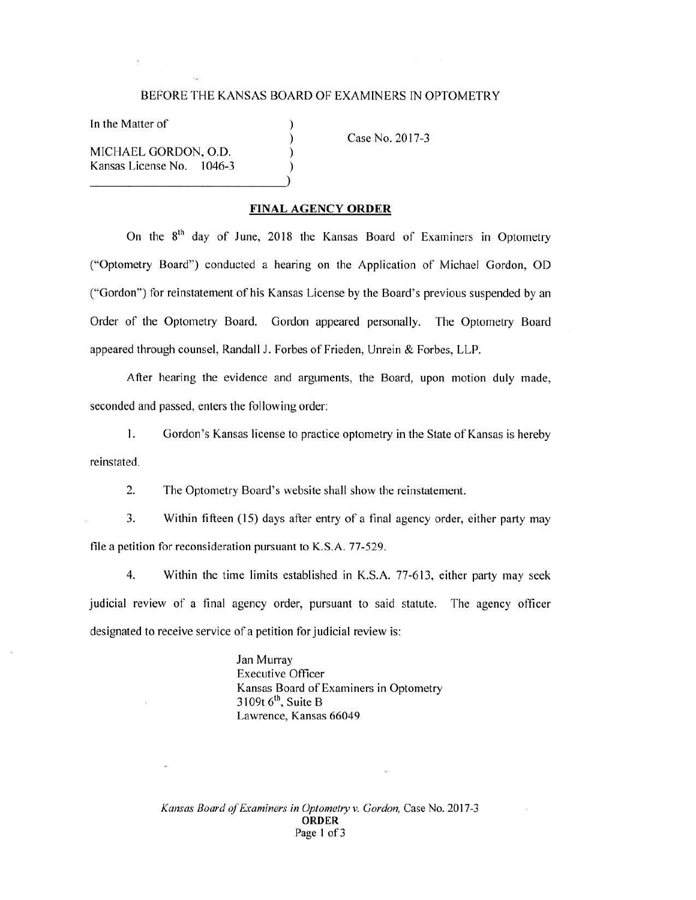## BEFORE THE KANSAS BOARD OF EXAMINERS IN OPTOMETRY

) ) ) )

In the Matter of

MICHAEL GORDON, O.D. Kansas License No. 1046-3 Case No. 2017-3

## **FINAL AGENCY ORDER**

On the 8<sup>th</sup> day of June, 2018 the Kansas Board of Examiners in Optometry ("Optometry Board") conducted a hearing on the Application of Michael Gordon, OD ("Gordon") for reinstatement of his Kansas License by the Board's previous suspended by an Order of the Optometry Board. Gordon appeared personally. The Optometry Board appeared through counsel, Randall J. Forbes of Frieden, Unrein & Forbes, LLP.

After hearing the evidence and arguments, the Board, upon motion duly made, seconded and passed, enters the following order:

I. Gordon 's Kansas license to practice optometry in the State of Kansas is hereby reinstated.

2. The Optometry Board's website shall show the reinstatement.

3. Within fifteen (15) days after entry of a final agency order, either party may file a petition for reconsideration pursuant to K.S.A. 77-529.

4. Within the time limits established in K.S.A. 77-613, either party may seek judicial review of a final agency order, pursuant to said statute. The agency officer designated to receive service of a petition for judicial review is:

> Jan Murray Executive Officer Kansas Board of Examiners in Optometry  $3109t$  6<sup>th</sup>, Suite B Lawrence, Kansas 66049

*Kansas Board of Examiners in Optomehy v. Gordon,* Case No.2017-3 **ORDER**  Page 1 of 3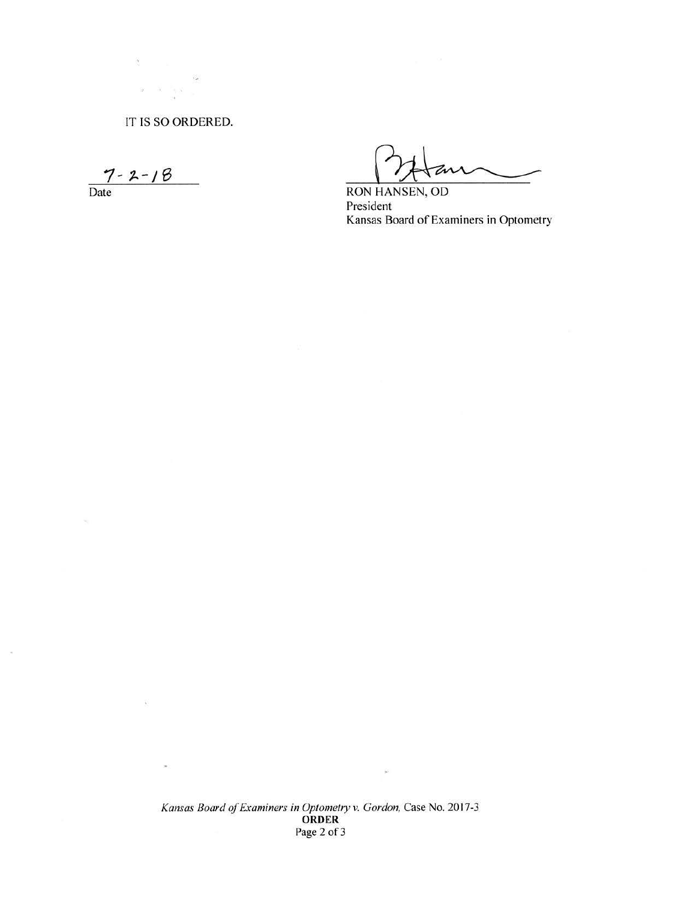IT IS SO ORDERED.

 $\label{eq:2.1} \mathbf{z} = \mathbf{X} - \mathbf{q}_i \mathbf{x}_{-i}$ 

 $\overline{\Sigma}_{\mathcal{P}}$ 

 $\frac{7-2-18}{\text{Date}}$ 

 $\mathcal{E}$ 

 $\overline{\mathcal{M}}_0$ 

 $\tilde{\Sigma}$ 

 $\bar{\mathcal{A}}$ 

 $\lambda$ 

Production de la Communister<br>HANSEN, OD

**RON HANSEN, OD** President Kansas Board of Examiners in Optometry

*Kansas Board of Examiners in Optometry v. Gordon,* Case No. 20 17-3 **ORDER**  Page 2 of 3

 $\tilde{\omega}$